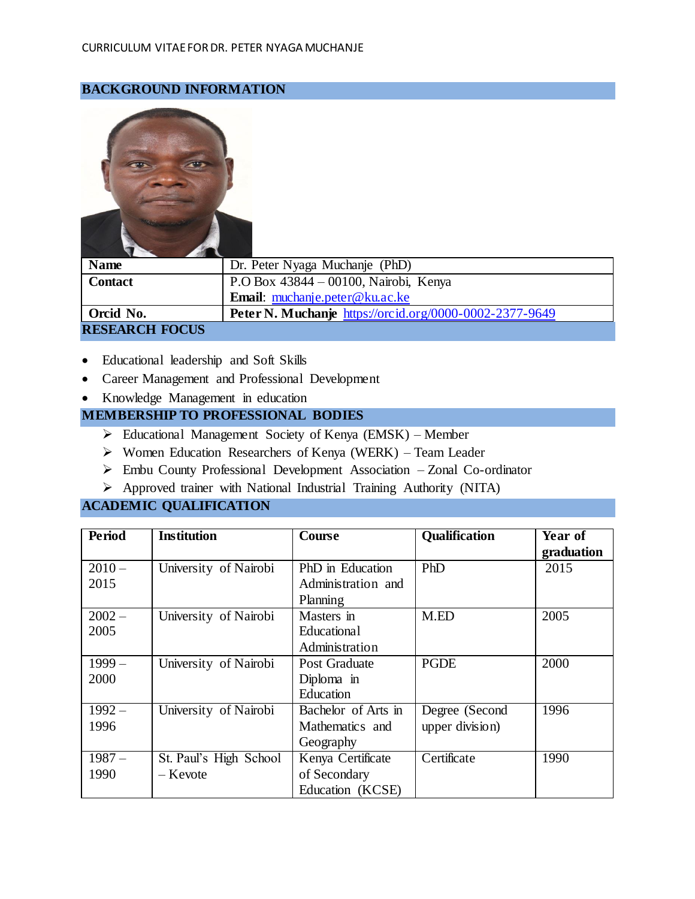## **BACKGROUND INFORMATION**



| <b>Name</b>           | Dr. Peter Nyaga Muchanje (PhD)                          |
|-----------------------|---------------------------------------------------------|
| <b>Contact</b>        | P.O Box 43844 – 00100, Nairobi, Kenya                   |
|                       | <b>Email:</b> muchanje.peter@ku.ac.ke                   |
| Orcid No.             | Peter N. Muchanje https://orcid.org/0000-0002-2377-9649 |
| <b>RESEARCH FOCUS</b> |                                                         |

- Educational leadership and Soft Skills
- Career Management and Professional Development
- Knowledge Management in education

## **MEMBERSHIP TO PROFESSIONAL BODIES**

- Educational Management Society of Kenya (EMSK) Member
- $\triangleright$  Women Education Researchers of Kenya (WERK) Team Leader
- Embu County Professional Development Association Zonal Co-ordinator
- Approved trainer with National Industrial Training Authority (NITA)

## **ACADEMIC QUALIFICATION**

| <b>Period</b> | <b>Institution</b>     | <b>Course</b>       | Qualification   | Year of    |
|---------------|------------------------|---------------------|-----------------|------------|
|               |                        |                     |                 | graduation |
| $2010 -$      | University of Nairobi  | PhD in Education    | PhD             | 2015       |
| 2015          |                        | Administration and  |                 |            |
|               |                        | Planning            |                 |            |
| $2002 -$      | University of Nairobi  | Masters in          | M.ED            | 2005       |
| 2005          |                        | <b>Educational</b>  |                 |            |
|               |                        | Administration      |                 |            |
| $1999-$       | University of Nairobi  | Post Graduate       | <b>PGDE</b>     | 2000       |
| 2000          |                        | Diploma in          |                 |            |
|               |                        | Education           |                 |            |
| $1992 -$      | University of Nairobi  | Bachelor of Arts in | Degree (Second  | 1996       |
| 1996          |                        | Mathematics and     | upper division) |            |
|               |                        | Geography           |                 |            |
| $1987 -$      | St. Paul's High School | Kenya Certificate   | Certificate     | 1990       |
| 1990          | – Kevote               | of Secondary        |                 |            |
|               |                        | Education (KCSE)    |                 |            |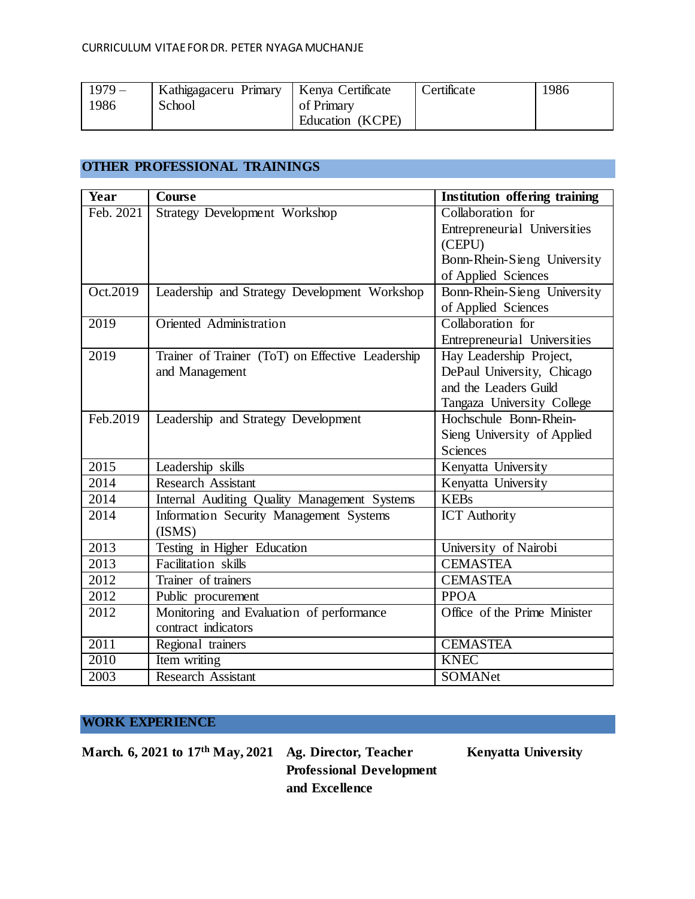| $1979-$ | Kathigagaceru Primary | Kenya Certificate | Certificate | 1986 |
|---------|-----------------------|-------------------|-------------|------|
| 1986    | School                | of Primary        |             |      |
|         |                       | Education (KCPE)  |             |      |

## **OTHER PROFESSIONAL TRAININGS**

| Year      | <b>Course</b>                                    | <b>Institution offering training</b> |
|-----------|--------------------------------------------------|--------------------------------------|
| Feb. 2021 | Strategy Development Workshop                    | Collaboration for                    |
|           |                                                  | Entrepreneurial Universities         |
|           |                                                  | (CEPU)                               |
|           |                                                  | Bonn-Rhein-Sieng University          |
|           |                                                  | of Applied Sciences                  |
| Oct.2019  | Leadership and Strategy Development Workshop     | Bonn-Rhein-Sieng University          |
|           |                                                  | of Applied Sciences                  |
| 2019      | <b>Oriented Administration</b>                   | Collaboration for                    |
|           |                                                  | Entrepreneurial Universities         |
| 2019      | Trainer of Trainer (ToT) on Effective Leadership | Hay Leadership Project,              |
|           | and Management                                   | DePaul University, Chicago           |
|           |                                                  | and the Leaders Guild                |
|           |                                                  | Tangaza University College           |
| Feb.2019  | Leadership and Strategy Development              | Hochschule Bonn-Rhein-               |
|           |                                                  | Sieng University of Applied          |
|           |                                                  | <b>Sciences</b>                      |
| 2015      | Leadership skills                                | Kenyatta University                  |
| 2014      | <b>Research Assistant</b>                        | Kenyatta University                  |
| 2014      | Internal Auditing Quality Management Systems     | <b>KEBs</b>                          |
| 2014      | Information Security Management Systems          | <b>ICT</b> Authority                 |
|           | (ISMS)                                           |                                      |
| 2013      | Testing in Higher Education                      | University of Nairobi                |
| 2013      | Facilitation skills                              | <b>CEMASTEA</b>                      |
| 2012      | Trainer of trainers                              | <b>CEMASTEA</b>                      |
| 2012      | Public procurement                               | <b>PPOA</b>                          |
| 2012      | Monitoring and Evaluation of performance         | Office of the Prime Minister         |
|           | contract indicators                              |                                      |
| 2011      | Regional trainers                                | <b>CEMASTEA</b>                      |
| 2010      | Item writing                                     | <b>KNEC</b>                          |
| 2003      | <b>Research Assistant</b>                        | <b>SOMANet</b>                       |

# **WORK EXPERIENCE**

March. 6, 2021 to 17<sup>th</sup> May, 2021 Ag. Director, Teacher Kenyatta University

**Professional Development and Excellence**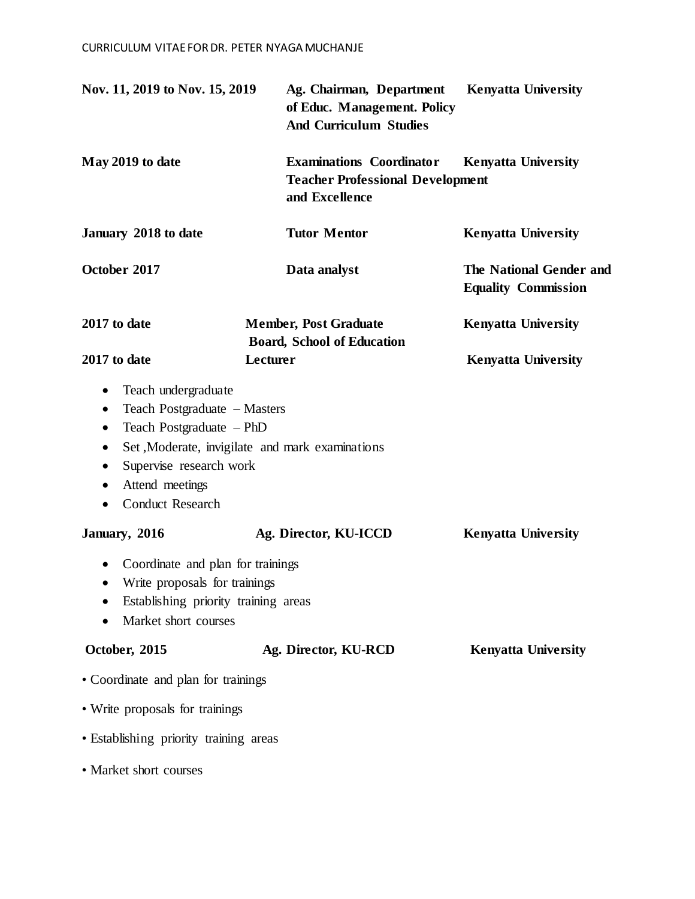| Nov. 11, 2019 to Nov. 15, 2019                                                                                                                                                                                                 | Ag. Chairman, Department<br>of Educ. Management. Policy<br><b>And Curriculum Studies</b>     | <b>Kenyatta University</b>                            |
|--------------------------------------------------------------------------------------------------------------------------------------------------------------------------------------------------------------------------------|----------------------------------------------------------------------------------------------|-------------------------------------------------------|
| May 2019 to date                                                                                                                                                                                                               | <b>Examinations Coordinator</b><br><b>Teacher Professional Development</b><br>and Excellence | <b>Kenyatta University</b>                            |
| January 2018 to date                                                                                                                                                                                                           | <b>Tutor Mentor</b>                                                                          | <b>Kenyatta University</b>                            |
| October 2017                                                                                                                                                                                                                   | Data analyst                                                                                 | The National Gender and<br><b>Equality Commission</b> |
| 2017 to date                                                                                                                                                                                                                   | <b>Member, Post Graduate</b><br><b>Board, School of Education</b>                            | <b>Kenyatta University</b>                            |
| 2017 to date                                                                                                                                                                                                                   | Lecturer                                                                                     | <b>Kenyatta University</b>                            |
| Teach undergraduate<br>٠<br>Teach Postgraduate - Masters<br>$\bullet$<br>Teach Postgraduate - PhD<br>$\bullet$<br>$\bullet$<br>Supervise research work<br>$\bullet$<br>Attend meetings<br><b>Conduct Research</b><br>$\bullet$ | Set, Moderate, invigilate and mark examinations                                              |                                                       |
| January, 2016                                                                                                                                                                                                                  | Ag. Director, KU-ICCD                                                                        | <b>Kenyatta University</b>                            |
| Coordinate and plan for trainings<br>$\bullet$<br>Write proposals for trainings<br>Establishing priority training areas<br>Market short courses                                                                                |                                                                                              |                                                       |
| October, 2015                                                                                                                                                                                                                  | Ag. Director, KU-RCD                                                                         | <b>Kenyatta University</b>                            |
| • Coordinate and plan for trainings                                                                                                                                                                                            |                                                                                              |                                                       |
| • Write proposals for trainings                                                                                                                                                                                                |                                                                                              |                                                       |
| • Establishing priority training areas                                                                                                                                                                                         |                                                                                              |                                                       |
| • Market short courses                                                                                                                                                                                                         |                                                                                              |                                                       |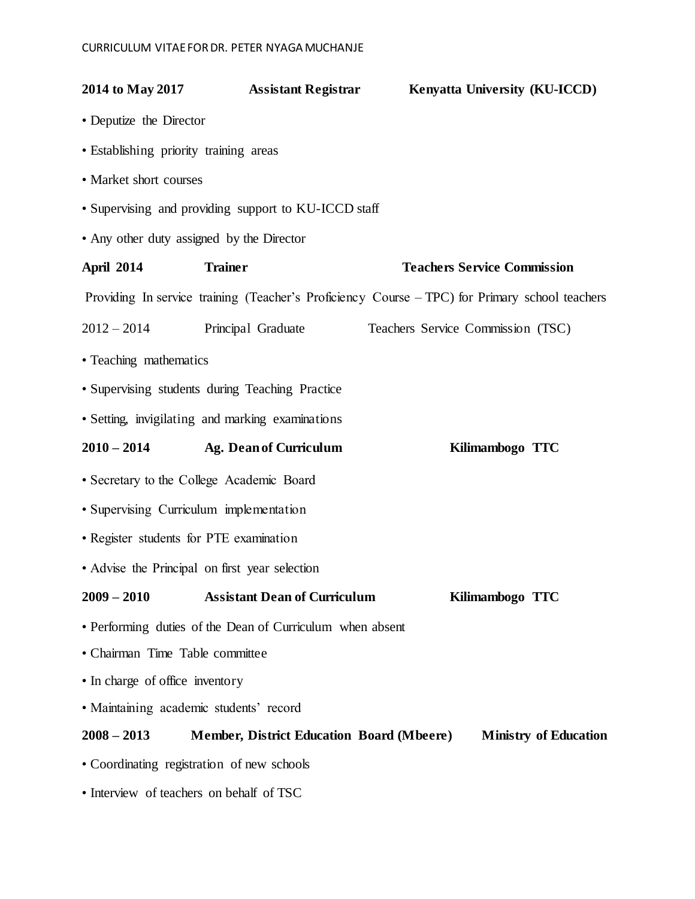| 2014 to May 2017                                                                                  | <b>Assistant Registrar</b>                                | Kenyatta University (KU-ICCD)                                                                  |  |  |
|---------------------------------------------------------------------------------------------------|-----------------------------------------------------------|------------------------------------------------------------------------------------------------|--|--|
| • Deputize the Director                                                                           |                                                           |                                                                                                |  |  |
| • Establishing priority training areas                                                            |                                                           |                                                                                                |  |  |
| • Market short courses                                                                            |                                                           |                                                                                                |  |  |
|                                                                                                   | • Supervising and providing support to KU-ICCD staff      |                                                                                                |  |  |
| • Any other duty assigned by the Director                                                         |                                                           |                                                                                                |  |  |
| <b>April 2014</b>                                                                                 | <b>Trainer</b>                                            | <b>Teachers Service Commission</b>                                                             |  |  |
|                                                                                                   |                                                           | Providing In service training (Teacher's Proficiency Course – TPC) for Primary school teachers |  |  |
| 2012 - 2014 Principal Graduate                                                                    |                                                           | Teachers Service Commission (TSC)                                                              |  |  |
| • Teaching mathematics                                                                            |                                                           |                                                                                                |  |  |
|                                                                                                   | • Supervising students during Teaching Practice           |                                                                                                |  |  |
|                                                                                                   | • Setting, invigilating and marking examinations          |                                                                                                |  |  |
| $2010 - 2014$                                                                                     | <b>Ag. Dean of Curriculum</b>                             | Kilimambogo TTC                                                                                |  |  |
| • Secretary to the College Academic Board                                                         |                                                           |                                                                                                |  |  |
| · Supervising Curriculum implementation                                                           |                                                           |                                                                                                |  |  |
| • Register students for PTE examination                                                           |                                                           |                                                                                                |  |  |
| • Advise the Principal on first year selection                                                    |                                                           |                                                                                                |  |  |
| $2009 - 2010$                                                                                     | <b>Assistant Dean of Curriculum</b>                       | Kilimambogo TTC                                                                                |  |  |
|                                                                                                   | • Performing duties of the Dean of Curriculum when absent |                                                                                                |  |  |
| • Chairman Time Table committee                                                                   |                                                           |                                                                                                |  |  |
| • In charge of office inventory                                                                   |                                                           |                                                                                                |  |  |
| · Maintaining academic students' record                                                           |                                                           |                                                                                                |  |  |
| $2008 - 2013$<br><b>Member, District Education Board (Mbeere)</b><br><b>Ministry of Education</b> |                                                           |                                                                                                |  |  |
| • Coordinating registration of new schools                                                        |                                                           |                                                                                                |  |  |
|                                                                                                   | • Interview of teachers on behalf of TSC                  |                                                                                                |  |  |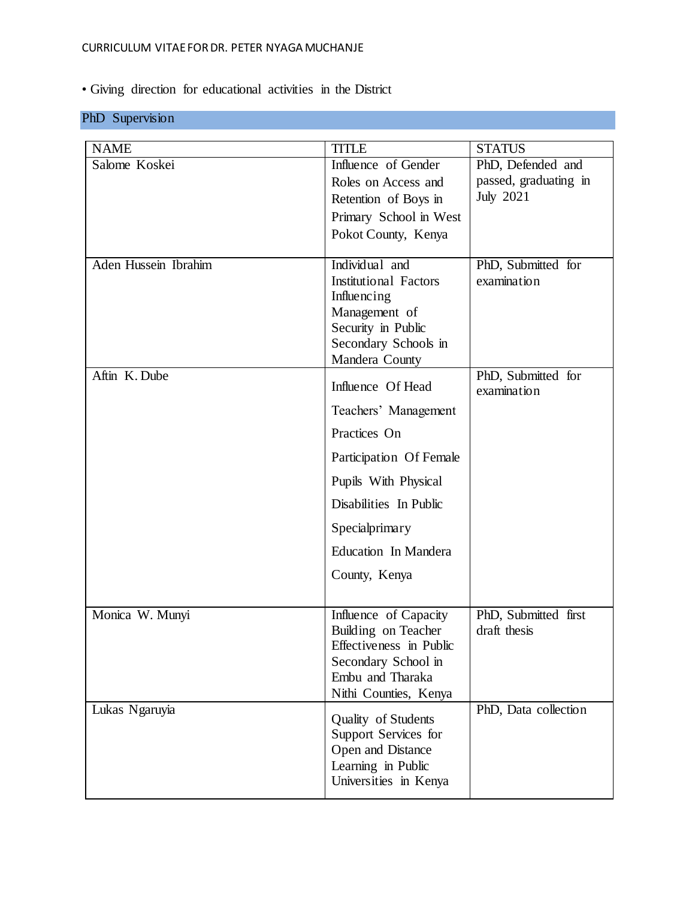## CURRICULUM VITAE FOR DR. PETER NYAGA MUCHANJE

# • Giving direction for educational activities in the District

# PhD Supervision

| <b>NAME</b>          | <b>TITLE</b>                                 | <b>STATUS</b>                     |
|----------------------|----------------------------------------------|-----------------------------------|
| Salome Koskei        | Influence of Gender                          | PhD, Defended and                 |
|                      | Roles on Access and                          | passed, graduating in             |
|                      | Retention of Boys in                         | July 2021                         |
|                      | Primary School in West                       |                                   |
|                      | Pokot County, Kenya                          |                                   |
|                      |                                              |                                   |
| Aden Hussein Ibrahim | Individual and                               | PhD, Submitted for                |
|                      | <b>Institutional Factors</b>                 | examination                       |
|                      | Influencing<br>Management of                 |                                   |
|                      | Security in Public                           |                                   |
|                      | Secondary Schools in                         |                                   |
|                      | Mandera County                               |                                   |
| Aftin K. Dube        | Influence Of Head                            | PhD, Submitted for<br>examination |
|                      | Teachers' Management                         |                                   |
|                      | Practices On                                 |                                   |
|                      | Participation Of Female                      |                                   |
|                      | Pupils With Physical                         |                                   |
|                      | Disabilities In Public                       |                                   |
|                      | Specialprimary                               |                                   |
|                      | Education In Mandera                         |                                   |
|                      | County, Kenya                                |                                   |
| Monica W. Munyi      |                                              | PhD, Submitted first              |
|                      | Influence of Capacity<br>Building on Teacher | draft thesis                      |
|                      | Effectiveness in Public                      |                                   |
|                      | Secondary School in                          |                                   |
|                      | Embu and Tharaka                             |                                   |
|                      | Nithi Counties, Kenya                        | PhD, Data collection              |
| Lukas Ngaruyia       | Quality of Students                          |                                   |
|                      | Support Services for                         |                                   |
|                      | Open and Distance                            |                                   |
|                      | Learning in Public<br>Universities in Kenya  |                                   |
|                      |                                              |                                   |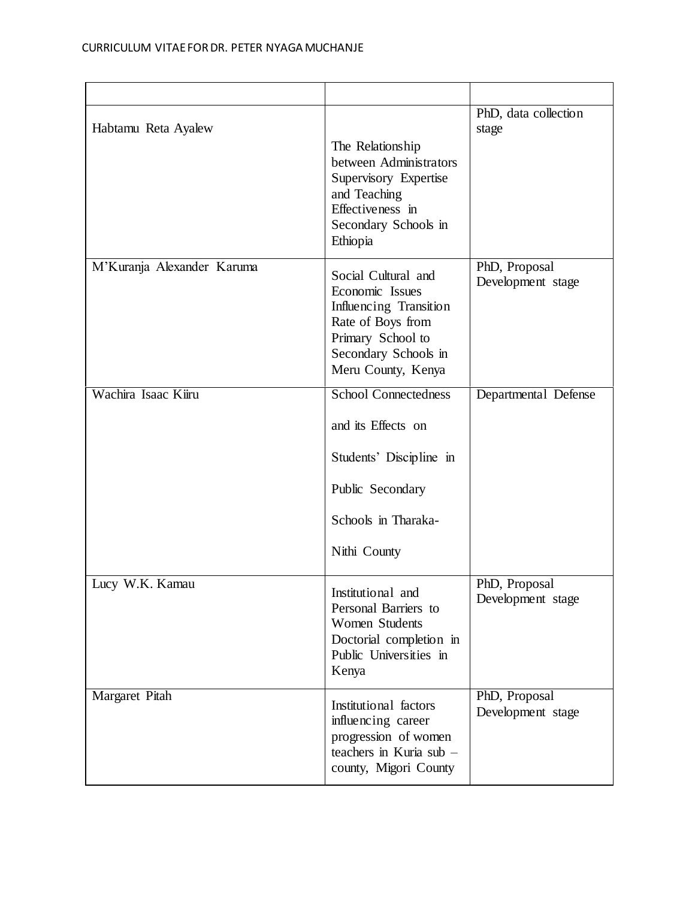| Habtamu Reta Ayalew        | The Relationship<br>between Administrators<br>Supervisory Expertise<br>and Teaching<br>Effectiveness in<br>Secondary Schools in<br>Ethiopia              | PhD, data collection<br>stage      |
|----------------------------|----------------------------------------------------------------------------------------------------------------------------------------------------------|------------------------------------|
| M'Kuranja Alexander Karuma | Social Cultural and<br>Economic Issues<br>Influencing Transition<br>Rate of Boys from<br>Primary School to<br>Secondary Schools in<br>Meru County, Kenya | PhD, Proposal<br>Development stage |
| Wachira Isaac Kiiru        | <b>School Connectedness</b><br>and its Effects on<br>Students' Discipline in<br>Public Secondary<br>Schools in Tharaka-<br>Nithi County                  | Departmental Defense               |
| Lucy W.K. Kamau            | Institutional and<br>Personal Barriers to<br><b>Women Students</b><br>Doctorial completion in<br>Public Universities in<br>Kenya                         | PhD, Proposal<br>Development stage |
| Margaret Pitah             | Institutional factors<br>influencing career<br>progression of women<br>teachers in Kuria sub -<br>county, Migori County                                  | PhD, Proposal<br>Development stage |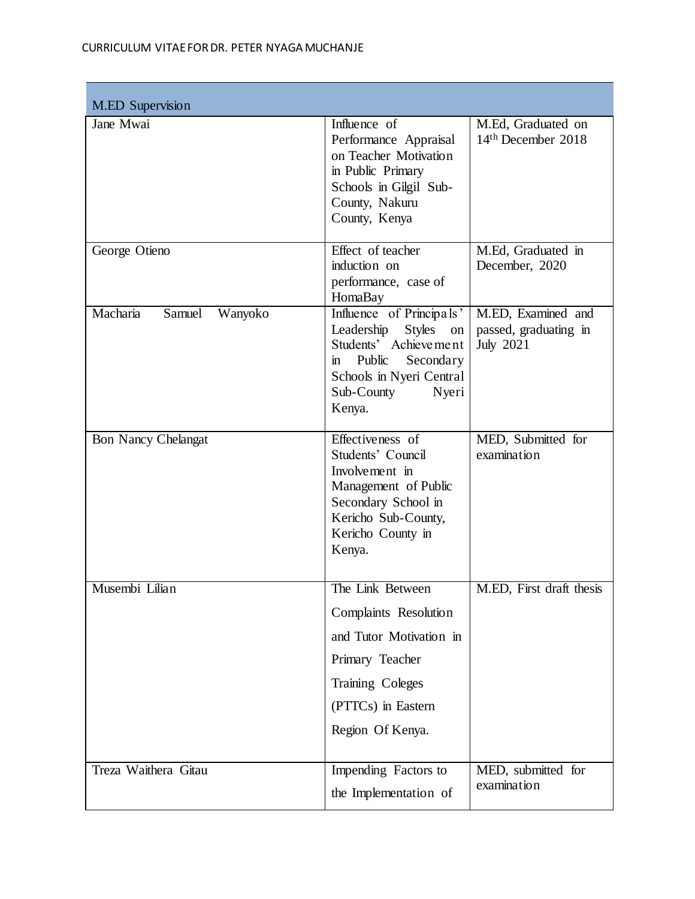| <b>M.ED</b> Supervision       |                                                                                                                                                                                              |                                                                 |
|-------------------------------|----------------------------------------------------------------------------------------------------------------------------------------------------------------------------------------------|-----------------------------------------------------------------|
| Jane Mwai                     | Influence of<br>Performance Appraisal<br>on Teacher Motivation<br>in Public Primary<br>Schools in Gilgil Sub-<br>County, Nakuru<br>County, Kenya                                             | M.Ed, Graduated on<br>$14th$ December 2018                      |
| George Otieno                 | Effect of teacher<br>induction on<br>performance, case of<br>HomaBay                                                                                                                         | M.Ed, Graduated in<br>December, 2020                            |
| Macharia<br>Samuel<br>Wanyoko | Influence of Principals'<br>Leadership<br><b>Styles</b><br>on<br>Students' Achieve me nt<br>Public<br>Secondary<br>$\mathbf{m}$<br>Schools in Nyeri Central<br>Sub-County<br>Nyeri<br>Kenya. | M.ED, Examined and<br>passed, graduating in<br><b>July 2021</b> |
| <b>Bon Nancy Chelangat</b>    | Effectiveness of<br>Students' Council<br>Involvement in<br>Management of Public<br>Secondary School in<br>Kericho Sub-County,<br>Kericho County in<br>Kenya.                                 | MED, Submitted for<br>examination                               |
| Musembi Lilian                | The Link Between<br>Complaints Resolution<br>and Tutor Motivation in<br>Primary Teacher<br>Training Coleges<br>(PTTCs) in Eastern<br>Region Of Kenya.                                        | M.ED, First draft thesis                                        |
| Treza Waithera Gitau          | Impending Factors to<br>the Implementation of                                                                                                                                                | MED, submitted for<br>examination                               |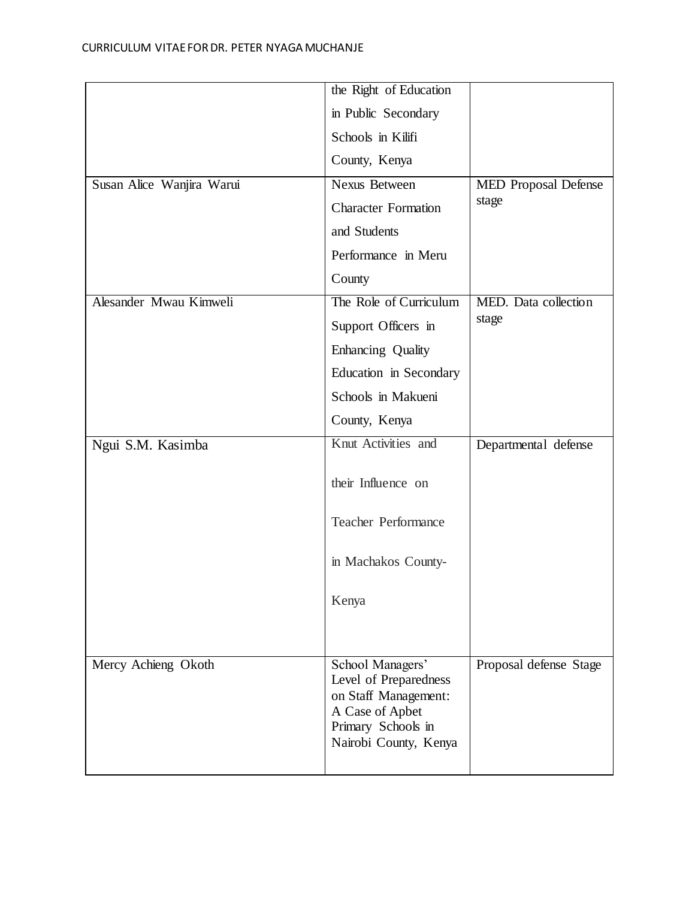|                           | the Right of Education                                                                                                              |                             |
|---------------------------|-------------------------------------------------------------------------------------------------------------------------------------|-----------------------------|
|                           | in Public Secondary                                                                                                                 |                             |
|                           | Schools in Kilifi                                                                                                                   |                             |
|                           | County, Kenya                                                                                                                       |                             |
| Susan Alice Wanjira Warui | <b>Nexus Between</b>                                                                                                                | <b>MED</b> Proposal Defense |
|                           | <b>Character Formation</b>                                                                                                          | stage                       |
|                           | and Students                                                                                                                        |                             |
|                           | Performance in Meru                                                                                                                 |                             |
|                           | County                                                                                                                              |                             |
| Alesander Mwau Kimweli    | The Role of Curriculum                                                                                                              | MED. Data collection        |
|                           | Support Officers in                                                                                                                 | stage                       |
|                           | Enhancing Quality                                                                                                                   |                             |
|                           | Education in Secondary                                                                                                              |                             |
|                           | Schools in Makueni                                                                                                                  |                             |
|                           | County, Kenya                                                                                                                       |                             |
| Ngui S.M. Kasimba         | Knut Activities and                                                                                                                 | Departmental defense        |
|                           | their Influence on                                                                                                                  |                             |
|                           | <b>Teacher Performance</b>                                                                                                          |                             |
|                           | in Machakos County-                                                                                                                 |                             |
|                           | Kenya                                                                                                                               |                             |
|                           |                                                                                                                                     |                             |
| Mercy Achieng Okoth       | School Managers'<br>Level of Preparedness<br>on Staff Management:<br>A Case of Apbet<br>Primary Schools in<br>Nairobi County, Kenya | Proposal defense Stage      |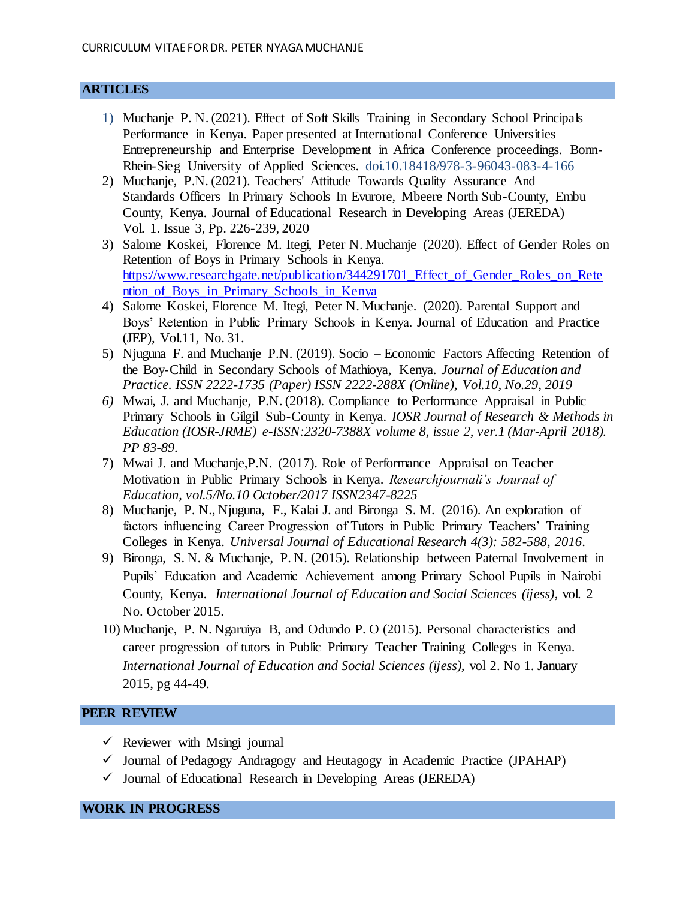#### **ARTICLES**

- 1) Muchanje P. N. (2021). Effect of Soft Skills Training in Secondary School Principals Performance in Kenya. Paper presented at International Conference Universities Entrepreneurship and Enterprise Development in Africa Conference proceedings. Bonn-Rhein-Sieg University of Applied Sciences. doi.10.18418/978-3-96043-083-4-166
- 2) Muchanje, P.N. (2021). Teachers' Attitude Towards Quality Assurance And Standards Officers In Primary Schools In Evurore, Mbeere North Sub-County, Embu County, Kenya. Journal of Educational Research in Developing Areas (JEREDA) Vol. 1. Issue 3, Pp. 226-239, 2020
- 3) Salome Koskei, Florence M. Itegi, Peter N. Muchanje (2020). Effect of Gender Roles on Retention of Boys in Primary Schools in Kenya. [https://www.researchgate.net/publication/344291701\\_Effect\\_of\\_Gender\\_Roles\\_on\\_Rete](https://www.researchgate.net/publication/344291701_Effect_of_Gender_Roles_on_Retention_of_Boys_in_Primary_Schools_in_Kenya) [ntion\\_of\\_Boys\\_in\\_Primary\\_Schools\\_in\\_Kenya](https://www.researchgate.net/publication/344291701_Effect_of_Gender_Roles_on_Retention_of_Boys_in_Primary_Schools_in_Kenya)
- 4) Salome Koskei, Florence M. Itegi, Peter N. Muchanje. (2020). Parental Support and Boys' Retention in Public Primary Schools in Kenya. Journal of Education and Practice (JEP), Vol.11, No. 31.
- 5) Njuguna F. and Muchanje P.N. (2019). Socio Economic Factors Affecting Retention of the Boy-Child in Secondary Schools of Mathioya, Kenya. *Journal of Education and Practice. ISSN 2222-1735 (Paper) ISSN 2222-288X (Online), Vol.10, No.29, 2019*
- *6)* Mwai, J. and Muchanje, P.N. (2018). Compliance to Performance Appraisal in Public Primary Schools in Gilgil Sub-County in Kenya. *IOSR Journal of Research & Methods in Education (IOSR-JRME) e-ISSN:2320-7388X volume 8, issue 2, ver.1 (Mar-April 2018). PP 83-89.*
- 7) Mwai J. and Muchanje,P.N. (2017). Role of Performance Appraisal on Teacher Motivation in Public Primary Schools in Kenya. *Researchjournali's Journal of Education, vol.5/No.10 October/2017 ISSN2347-8225*
- 8) Muchanje, P. N., Njuguna, F., Kalai J. and Bironga S. M. (2016). An exploration of factors influencing Career Progression of Tutors in Public Primary Teachers' Training Colleges in Kenya. *Universal Journal of Educational Research 4(3): 582-588, 2016*.
- 9) Bironga, S. N. & Muchanje, P. N. (2015). Relationship between Paternal Involvement in Pupils' Education and Academic Achievement among Primary School Pupils in Nairobi County, Kenya. *International Journal of Education and Social Sciences (ijess)*, vol. 2 No. October 2015.
- 10) Muchanje, P. N. Ngaruiya B, and Odundo P. O (2015). Personal characteristics and career progression of tutors in Public Primary Teacher Training Colleges in Kenya. *International Journal of Education and Social Sciences (ijess),* vol 2. No 1. January 2015, pg 44-49.

#### **PEER REVIEW**

- $\checkmark$  Reviewer with Msingi journal
- $\checkmark$  Journal of Pedagogy Andragogy and Heutagogy in Academic Practice (JPAHAP)
- $\checkmark$  Journal of Educational Research in Developing Areas (JEREDA)

#### **WORK IN PROGRESS**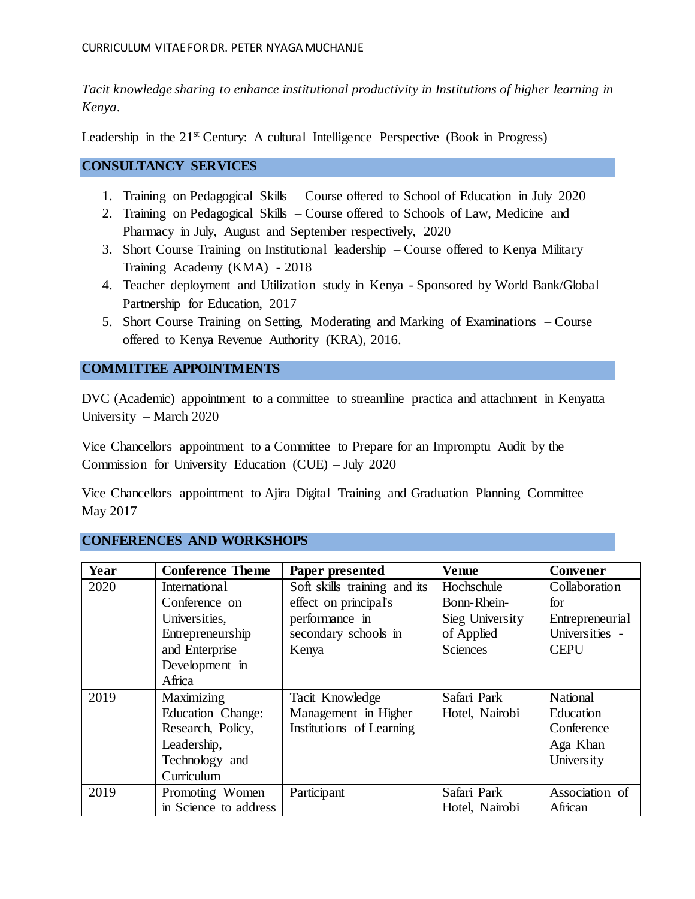*Tacit knowledge sharing to enhance institutional productivity in Institutions of higher learning in Kenya*.

Leadership in the 21<sup>st</sup> Century: A cultural Intelligence Perspective (Book in Progress)

### **CONSULTANCY SERVICES**

- 1. Training on Pedagogical Skills Course offered to School of Education in July 2020
- 2. Training on Pedagogical Skills Course offered to Schools of Law, Medicine and Pharmacy in July, August and September respectively, 2020
- 3. Short Course Training on Institutional leadership Course offered to Kenya Military Training Academy (KMA) - 2018
- 4. Teacher deployment and Utilization study in Kenya Sponsored by World Bank/Global Partnership for Education, 2017
- 5. Short Course Training on Setting, Moderating and Marking of Examinations Course offered to Kenya Revenue Authority (KRA), 2016.

## **COMMITTEE APPOINTMENTS**

DVC (Academic) appointment to a committee to streamline practica and attachment in Kenyatta University – March 2020

Vice Chancellors appointment to a Committee to Prepare for an Impromptu Audit by the Commission for University Education (CUE) – July 2020

Vice Chancellors appointment to Ajira Digital Training and Graduation Planning Committee – May 2017

#### **CONFERENCES AND WORKSHOPS**

| Year | <b>Conference Theme</b> | Paper presented              | <b>Venue</b>    | Convener        |
|------|-------------------------|------------------------------|-----------------|-----------------|
| 2020 | <b>International</b>    | Soft skills training and its | Hochschule      | Collaboration   |
|      | Conference on           | effect on principal's        | Bonn-Rhein-     | for             |
|      | Universities,           | performance in               | Sieg University | Entrepreneurial |
|      | Entrepreneurship        | secondary schools in         | of Applied      | Universities -  |
|      | and Enterprise          | Kenya                        | <b>Sciences</b> | <b>CEPU</b>     |
|      | Development in          |                              |                 |                 |
|      | Africa                  |                              |                 |                 |
| 2019 | Maximizing              | Tacit Knowledge              | Safari Park     | National        |
|      | Education Change:       | Management in Higher         | Hotel, Nairobi  | Education       |
|      | Research, Policy,       | Institutions of Learning     |                 | Conference $-$  |
|      | Leadership,             |                              |                 | Aga Khan        |
|      | Technology and          |                              |                 | University      |
|      | Curriculum              |                              |                 |                 |
| 2019 | Promoting Women         | Participant                  | Safari Park     | Association of  |
|      | in Science to address   |                              | Hotel, Nairobi  | African         |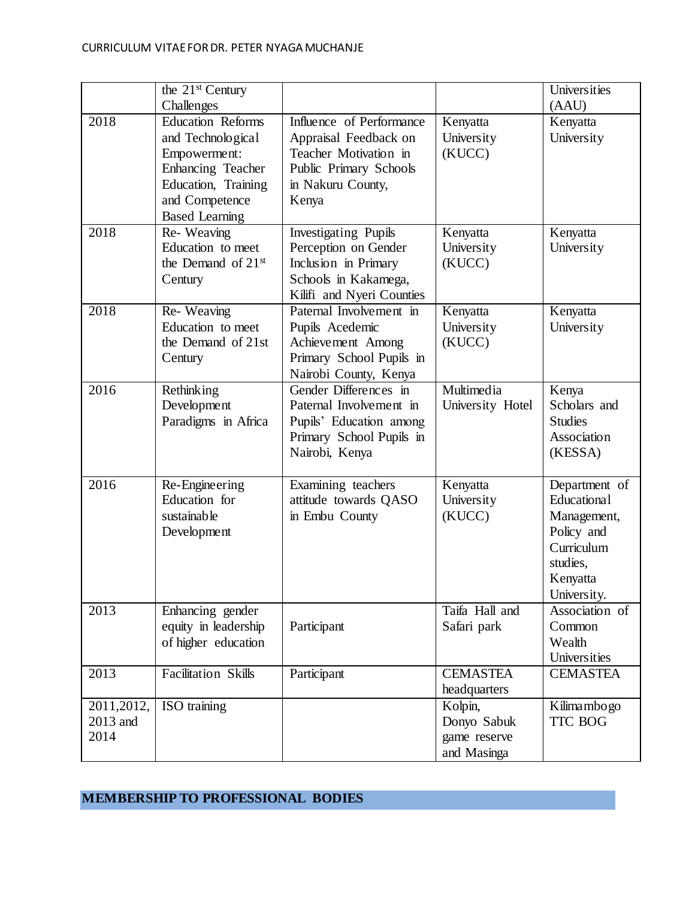|                                 | the $21st$ Century<br>Challenges                                                                                                                     |                                                                                                                                    |                                                       | Universities<br>(AAU)                                                                                          |
|---------------------------------|------------------------------------------------------------------------------------------------------------------------------------------------------|------------------------------------------------------------------------------------------------------------------------------------|-------------------------------------------------------|----------------------------------------------------------------------------------------------------------------|
| 2018                            | <b>Education Reforms</b><br>and Technological<br>Empowerment:<br>Enhancing Teacher<br>Education, Training<br>and Competence<br><b>Based Learning</b> | Influence of Performance<br>Appraisal Feedback on<br>Teacher Motivation in<br>Public Primary Schools<br>in Nakuru County,<br>Kenya | Kenyatta<br>University<br>(KUCC)                      | Kenyatta<br>University                                                                                         |
| 2018                            | Re-Weaving<br>Education to meet<br>the Demand of 21 <sup>st</sup><br>Century                                                                         | <b>Investigating Pupils</b><br>Perception on Gender<br>Inclusion in Primary<br>Schools in Kakamega,<br>Kilifi and Nyeri Counties   | Kenyatta<br>University<br>(KUCC)                      | Kenyatta<br>University                                                                                         |
| 2018                            | Re-Weaving<br>Education to meet<br>the Demand of 21st<br>Century                                                                                     | Paternal Involvement in<br>Pupils Acedemic<br>Achievement Among<br>Primary School Pupils in<br>Nairobi County, Kenya               | Kenyatta<br>University<br>(KUCC)                      | Kenyatta<br>University                                                                                         |
| 2016                            | Rethinking<br>Development<br>Paradigms in Africa                                                                                                     | Gender Differences in<br>Paternal Involvement in<br>Pupils' Education among<br>Primary School Pupils in<br>Nairobi, Kenya          | Multimedia<br>University Hotel                        | Kenya<br>Scholars and<br><b>Studies</b><br>Association<br>(KESSA)                                              |
| 2016                            | Re-Engineering<br>Education for<br>sustainable<br>Development                                                                                        | Examining teachers<br>attitude towards QASO<br>in Embu County                                                                      | Kenyatta<br>University<br>(KUCC)                      | Department of<br>Educational<br>Management,<br>Policy and<br>Curriculum<br>studies,<br>Kenyatta<br>University. |
| 2013                            | Enhancing gender<br>equity in leadership<br>of higher education                                                                                      | Participant                                                                                                                        | Taifa Hall and<br>Safari park                         | Association of<br>Common<br>Wealth<br>Universities                                                             |
| 2013                            | <b>Facilitation Skills</b>                                                                                                                           | Participant                                                                                                                        | <b>CEMASTEA</b><br>headquarters                       | <b>CEMASTEA</b>                                                                                                |
| 2011, 2012,<br>2013 and<br>2014 | ISO training                                                                                                                                         |                                                                                                                                    | Kolpin,<br>Donyo Sabuk<br>game reserve<br>and Masinga | Kilimambogo<br><b>TTC BOG</b>                                                                                  |

# **MEMBERSHIP TO PROFESSIONAL BODIES**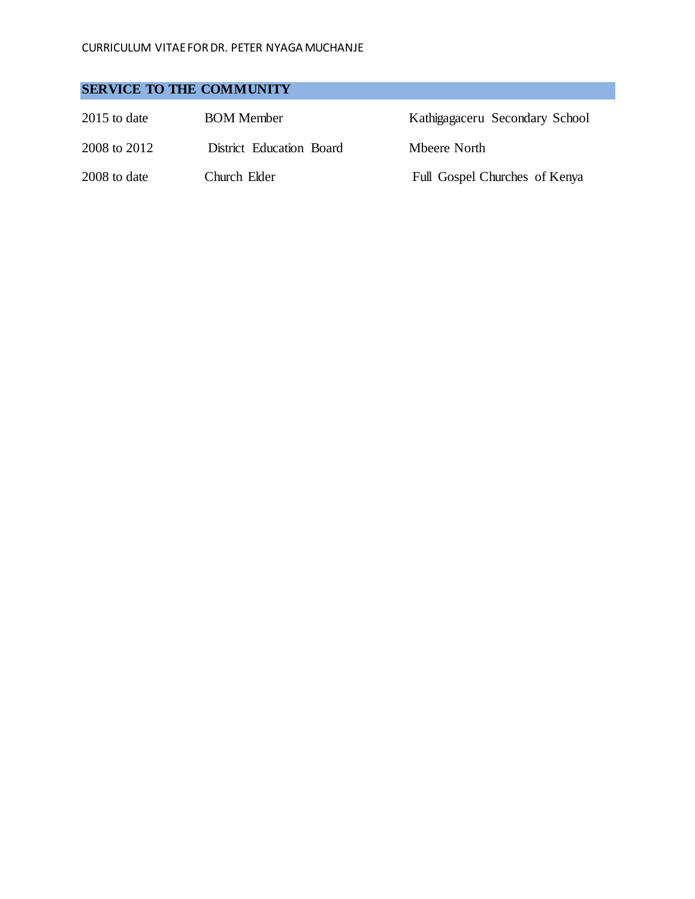## **SERVICE TO THE COMMUNITY**

| $2015$ to date | <b>BOM</b> Member        | Kathigagaceru Secondary School |
|----------------|--------------------------|--------------------------------|
| 2008 to 2012   | District Education Board | Mbeere North                   |
| 2008 to date   | Church Elder             | Full Gospel Churches of Kenya  |